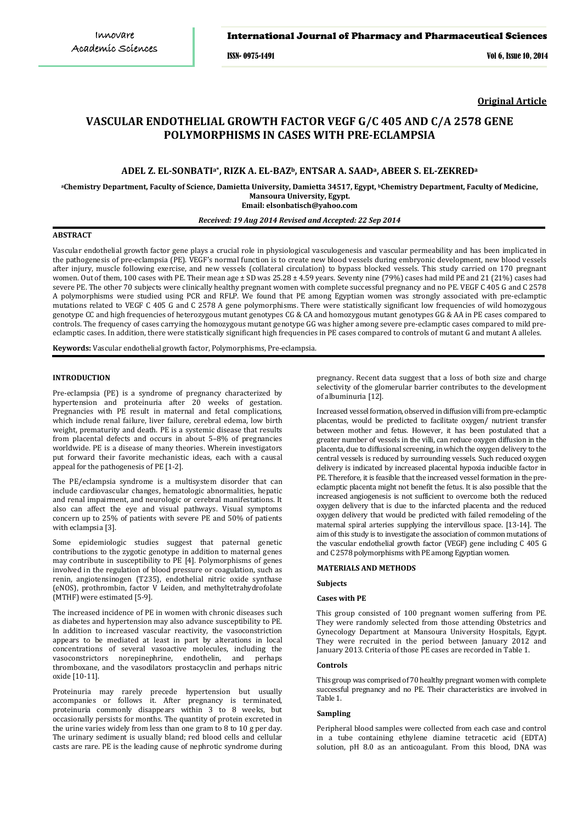#### International Journal of Pharmacy and Pharmaceutical Sciences

ISSN- 0975-1491 Vol 6, Issue 10, 2014

**Original Article**

# **VASCULAR ENDOTHELIAL GROWTH FACTOR [VEGF](http://europepmc.org/abstract/med/16517614/?whatizit_url_gene_protein=http://www.uniprot.org/uniprot/?query=VEGF&sort=score) G/C 405 AND C/A 2578 GENE POLYMORPHISMS IN CASES WITH PRE-ECLAMPSIA**

# **ADEL Z. EL-SONBATIa\*, RIZK A. EL-BAZb, ENTSAR A. SAADa, ABEER S. EL-ZEKREDa**

**aChemistry Department, Faculty of Science, Damietta University, Damietta 34517, Egypt, b Chemistry Department, Faculty of Medicine, Mansoura University, Egypt.**

**[elsonbatisch@yahoo.com](mailto:elsonbatisch@yahoo.com) Email:** 

# *Received: 19 Aug 2014 Revised and Accepted: 22 Sep 2014*

#### **ABSTRACT**

Vascular endothelial growth factor gene plays a crucial role in physiological vasculogenesis and vascular permeability and has been implicated in the pathogenesis of pre-eclampsia (PE). VEGF's normal function is to create new blood vessels during embryonic development, new blood vessels after injury, muscle following exercise, and new vessels (collateral circulation) to bypass blocked vessels. This study carried on 170 pregnant women. Out of them, 100 cases with PE. Their mean age ± SD was 25.28 ± 4.59 years. Seventy nine (79%) cases had mild PE and 21 (21%) cases had severe PE. The other 70 subjects were clinically healthy pregnant women with complete successful pregnancy and no PE. VEGF C 405 G and C 2578 A polymorphisms were studied using PCR and RFLP. We found that PE among Egyptian women was strongly associated with pre-eclamptic mutations related to VEGF C 405 G and C 2578 A gene polymorphisms. There were statistically significant low frequencies of wild homozygous genotype CC and high frequencies of heterozygous mutant genotypes CG & CA and homozygous mutant genotypes GG & AA in PE cases compared to controls. The frequency of cases carrying the homozygous mutant genotype GG was higher among severe pre-eclamptic cases compared to mild preeclamptic cases. In addition, there were statistically significant high frequencies in PE cases compared to controls of mutant G and mutant A alleles.

**Keywords:** Vascular endothelial growth factor, Polymorphisms, Pre-eclampsia.

### **INTRODUCTION**

Pre-eclampsia (PE) is a syndrome of pregnancy characterized by hypertension and proteinuria after 20 weeks of gestation. Pregnancies with PE result in maternal and fetal complications, which include renal failure, liver failure, cerebral edema, low birth weight, prematurity and death. PE is a systemic disease that results from placental defects and occurs in about 5–8% of pregnancies worldwide. PE is a disease of many theories. Wherein investigators put forward their favorite mechanistic ideas, each with a causal appeal for the pathogenesis of PE [1-2].

The PE/eclampsia syndrome is a multisystem disorder that can include cardiovascular changes, hematologic abnormalities, hepatic and renal impairment, and neurologic or cerebral manifestations. It also can affect the eye and visual pathways. Visual symptoms concern up to 25% of patients with severe PE and 50% of patients with eclampsia [3].

Some epidemiologic studies suggest that paternal genetic contributions to the zygotic genotype in addition to maternal genes may contribute in susceptibility to PE [4]. Polymorphisms of genes involved in the regulation of blood pressure or coagulation, such as renin, angiotensinogen (T235), endothelial nitric oxide synthase (eNOS), prothrombin, factor V Leiden, and methyltetrahydrofolate (MTHF) were estimated [5-9].

The increased incidence of PE in women with chronic diseases such as diabetes and hypertension may also advance susceptibility to PE. In addition to increased vascular reactivity, the vasoconstriction appears to be mediated at least in part by alterations in local concentrations of several vasoactive molecules, including the vasoconstrictors norepinephrine, endothelin, and perhaps vasoconstrictors norepinephrine, endothelin, and thromboxane, and the vasodilators prostacyclin and perhaps nitric oxide [10-11].

Proteinuria may rarely precede hypertension but usually accompanies or follows it. After pregnancy is terminated, proteinuria commonly disappears within 3 to 8 weeks, but occasionally persists for months. The quantity of protein excreted in the urine varies widely from less than one gram to 8 to 10 g per day. The urinary sediment is usually bland; red blood cells and cellular casts are rare. PE is the leading cause of nephrotic syndrome during

pregnancy. Recent data suggest that a loss of both size and charge selectivity of the glomerular barrier contributes to the development of albuminuria [12].

Increased vessel formation, observed in diffusion villi from pre-eclamptic placentas, would be predicted to facilitate oxygen/ nutrient transfer between mother and fetus. However, it has been postulated that a greater number of vessels in the villi, can reduce oxygen diffusion in the placenta, due to diffusional screening, in which the oxygen delivery to the central vessels is reduced by surrounding vessels. Such reduced oxygen delivery is indicated by increased placental hypoxia inducible factor in PE. Therefore, it is feasible that the increased vessel formation in the preeclamptic placenta might not benefit the fetus. It is also possible that the increased angiogenesis is not sufficient to overcome both the reduced oxygen delivery that is due to the infarcted placenta and the reduced oxygen delivery that would be predicted with failed remodeling of the maternal spiral arteries supplying the intervillous space. [13-14]. The aim of this study is to investigate the association of common mutations of the vascular endothelial growth factor (VEGF) gene including C 405 G and C 2578 polymorphisms with PE among Egyptian women.

#### **MATERIALS AND METHODS**

#### **Subjects**

#### **Cases with PE**

This group consisted of 100 pregnant women suffering from PE. They were randomly selected from those attending Obstetrics and Gynecology Department at Mansoura University Hospitals, Egypt. They were recruited in the period between January 2012 and January 2013. Criteria of those PE cases are recorded in Table 1.

#### **Controls**

This group was comprised of 70 healthy pregnant women with complete successful pregnancy and no PE. Their characteristics are involved in Table 1.

#### **Sampling**

Peripheral blood samples were collected from each case and control in a tube containing ethylene diamine tetracetic acid (EDTA) solution, pH 8.0 as an anticoagulant. From this blood, DNA was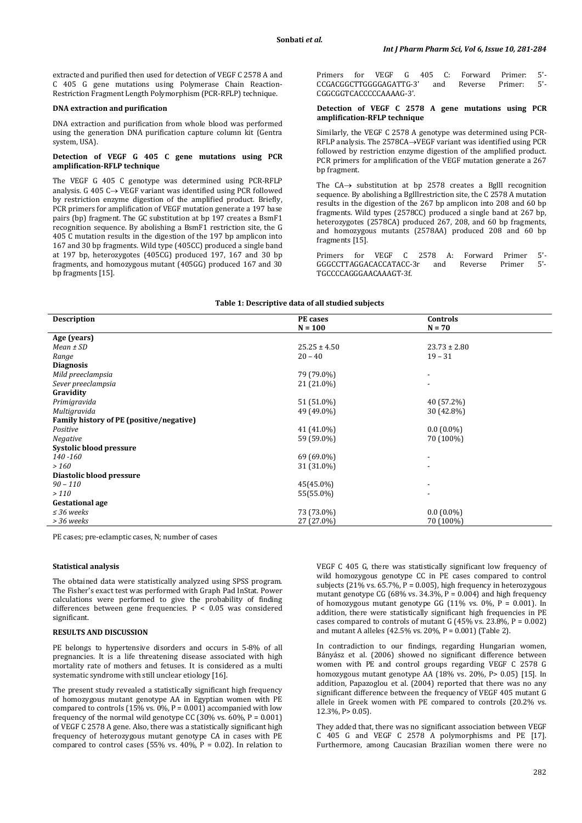extracted and purified then used for detection of VEGF C 2578 A and C 405 G gene mutations using Polymerase Chain Reaction-Restriction Fragment Length Polymorphism (PCR-RFLP) technique.

#### **DNA extraction and purification**

DNA extraction and purification from whole blood was performed using the generation DNA purification capture column kit (Gentra system, USA).

#### **Detection of VEGF G 405 C gene mutations using PCR amplification-RFLP technique**

The VEGF G 405 C genotype was determined using PCR-RFLP analysis. G 405 C→ VEGF variant was identified using PCR followed by restriction enzyme digestion of the amplified product. Briefly, PCR primers for amplification of VEGF mutation generate a 197 base pairs (bp) fragment. The GC substitution at bp 197 creates a BsmF1 recognition sequence. By abolishing a BsmF1 restriction site, the G 405 C mutation results in the digestion of the 197 bp amplicon into 167 and 30 bp fragments. Wild type (405CC) produced a single band at 197 bp, heterozygotes (405CG) produced 197, 167 and 30 bp fragments, and homozygous mutant (405GG) produced 167 and 30 bp fragments [15].

Primers for VEGF G 405 C: Forward Primer: 5'-<br>CCGACGGCTTGGGGAGATTG-3' and Reverse Primer: 5'-CCGACGGCTTGGGGAGATTG-3' CGGCGGTCACCCCCAAAAG-3'.

#### **Detection of VEGF C 2578 A gene mutations using PCR amplification-RFLP technique**

Similarly, the VEGF C 2578 A genotype was determined using PCR-RFLP analysis. The 2578CA→VEGF variant was identified using PCR followed by restriction enzyme digestion of the amplified product. PCR primers for amplification of the VEGF mutation generate a 267 bp fragment.

The CA→ substitution at bp 2578 creates a Bglll recognition sequence. By abolishing a Bglllrestriction site, the C 2578 A mutation results in the digestion of the 267 bp amplicon into 208 and 60 bp fragments. Wild types (2578CC) produced a single band at 267 bp, heterozygotes (2578CA) produced 267, 208, and 60 bp fragments, and homozygous mutants (2578AA) produced 208 and 60 bp fragments [15].

Primers for VEGF C 2578 A: Forward Primer 5'- GGGCCTTAGGACACCATACC-3r TGCCCCAGGGAACAAAGT-3f.

### **Table 1: Descriptive data of all studied subjects**

| <b>Description</b>                       | PE cases         | Controls                 |
|------------------------------------------|------------------|--------------------------|
|                                          | $N = 100$        | $N = 70$                 |
| Age (years)                              |                  |                          |
| $Mean \pm SD$                            | $25.25 \pm 4.50$ | $23.73 \pm 2.80$         |
| Range                                    | $20 - 40$        | $19 - 31$                |
| <b>Diagnosis</b>                         |                  |                          |
| Mild preeclampsia                        | 79 (79.0%)       | $\overline{\phantom{a}}$ |
| Sever preeclampsia                       | 21 (21.0%)       | $\overline{\phantom{a}}$ |
| Gravidity                                |                  |                          |
| Primigravida                             | 51 (51.0%)       | 40 (57.2%)               |
| Multigravida                             | 49 (49.0%)       | 30 (42.8%)               |
| Family history of PE (positive/negative) |                  |                          |
| Positive                                 | 41 (41.0%)       | $0.0(0.0\%)$             |
| <b>Negative</b>                          | 59 (59.0%)       | 70 (100%)                |
| Systolic blood pressure                  |                  |                          |
| 140 - 160                                | 69 (69.0%)       | $\overline{\phantom{a}}$ |
| > 160                                    | 31 (31.0%)       | $\overline{\phantom{a}}$ |
| Diastolic blood pressure                 |                  |                          |
| $90 - 110$                               | 45(45.0%)        | $\overline{\phantom{a}}$ |
| >110                                     | 55(55.0%)        | $\overline{\phantom{a}}$ |
| <b>Gestational age</b>                   |                  |                          |
| $\leq$ 36 weeks                          | 73 (73.0%)       | $0.0(0.0\%)$             |
| > 36 weeks                               | 27 (27.0%)       | 70 (100%)                |

PE cases; pre-eclamptic cases, N; number of cases

## **Statistical analysis**

The obtained data were statistically analyzed using SPSS program. The Fisher's exact test was performed with Graph Pad InStat. Power calculations were performed to give the probability of finding differences between gene frequencies. P < 0.05 was considered significant.

#### **RESULTS AND DISCUSSION**

PE belongs to hypertensive disorders and occurs in 5-8% of all pregnancies. It is a life threatening disease associated with high mortality rate of mothers and fetuses. It is considered as a multi systematic syndrome with still unclear etiology [16].

The present study revealed a statistically significant high frequency of homozygous mutant genotype AA in Egyptian women with PE compared to controls (15% vs.  $0\%$ , P = 0.001) accompanied with low frequency of the normal wild genotype CC (30% vs.  $60\%$ , P = 0.001) of VEGF C 2578 A gene. Also, there was a statistically significant high frequency of heterozygous mutant genotype CA in cases with PE compared to control cases (55% vs.  $40\%$ , P = 0.02). In relation to VEGF C 405 G, there was statistically significant low frequency of wild homozygous genotype CC in PE cases compared to control subjects (21% vs.  $65.7\%$ , P = 0.005), high frequency in heterozygous mutant genotype CG (68% vs.  $34.3\%$ , P = 0.004) and high frequency of homozygous mutant genotype GG (11% vs.  $0\%$ , P = 0.001). In addition, there were statistically significant high frequencies in PE cases compared to controls of mutant G  $(45\% \text{ vs. } 23.8\%, P = 0.002)$ and mutant A alleles (42.5% vs. 20%, P = 0.001) (Table 2).

In contradiction to our findings, regarding Hungarian women, Bányász et al. (2006) showed no significant difference between women with PE and control groups regarding VEGF C 2578 G homozygous mutant genotype AA (18% vs. 20%, P> 0.05) [15]. In addition, Papazoglou et al. (2004) reported that there was no any significant difference between the frequency of VEGF 405 mutant G allele in Greek women with PE compared to controls (20.2% vs. 12.3%, P> 0.05).

They added that, there was no significant association between VEGF C 405 G and VEGF C 2578 A polymorphisms and PE [17]. Furthermore, among Caucasian Brazilian women there were no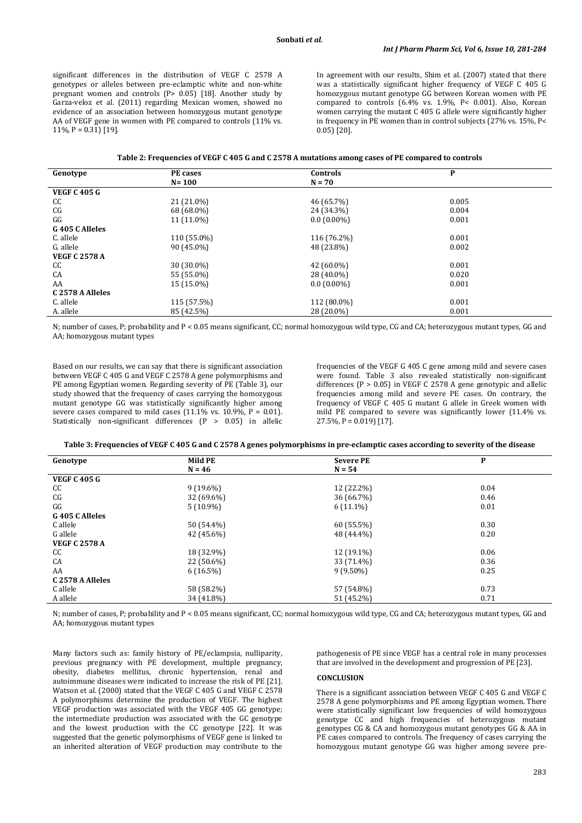significant differences in the distribution of VEGF C 2578 A genotypes or alleles between pre-eclamptic white and non-white pregnant women and controls  $(P> 0.05)$  [18]. Another study by Garza-veloz et al. (2011) regarding Mexican women, showed no evidence of an association between homozygous mutant genotype AA of VEGF gene in women with PE compared to controls (11% vs. 11%,  $P = 0.31$  [19].

In agreement with our results, Shim et al. (2007) stated that there was a statistically significant higher frequency of VEGF C 405 G homozygous mutant genotype GG between Korean women with PE compared to controls (6.4% vs. 1.9%, P< 0.001). Also, Korean women carrying the mutant C 405 G allele were significantly higher in frequency in PE women than in control subjects (27% vs. 15%, P< 0.05) [20].

| Table 2: Frequencies of VEGF C 405 G and C 2578 A mutations among cases of PE compared to controls |
|----------------------------------------------------------------------------------------------------|
|----------------------------------------------------------------------------------------------------|

| Genotype             | PE cases    | <b>Controls</b> | P     |  |
|----------------------|-------------|-----------------|-------|--|
|                      | $N = 100$   | $N = 70$        |       |  |
|                      |             |                 |       |  |
| <b>VEGF C 405 G</b>  |             |                 |       |  |
| CC                   | 21 (21.0%)  | 46 (65.7%)      | 0.005 |  |
| CG                   | 68 (68.0%)  | 24 (34.3%)      | 0.004 |  |
| GG                   | 11 (11.0%)  | $0.0(0.00\%)$   | 0.001 |  |
| G 405 C Alleles      |             |                 |       |  |
| C. allele            | 110 (55.0%) | 116 (76.2%)     | 0.001 |  |
| G. allele            | 90 (45.0%)  | 48 (23.8%)      | 0.002 |  |
| <b>VEGF C 2578 A</b> |             |                 |       |  |
| CC                   | 30 (30.0%)  | 42 (60.0%)      | 0.001 |  |
| CA                   | 55 (55.0%)  | 28 (40.0%)      | 0.020 |  |
| AA                   | 15 (15.0%)  | $0.0(0.00\%)$   | 0.001 |  |
| C 2578 A Alleles     |             |                 |       |  |
| C. allele            | 115 (57.5%) | 112 (80.0%)     | 0.001 |  |
| A. allele            | 85 (42.5%)  | 28 (20.0%)      | 0.001 |  |

N; number of cases, P; probability and P < 0.05 means significant, CC; normal homozygous wild type, CG and CA; heterozygous mutant types, GG and AA; homozygous mutant types

Based on our results, we can say that there is significant association between VEGF C 405 G and VEGF C 2578 A gene polymorphisms and PE among Egyptian women. Regarding severity of PE (Table 3), our study showed that the frequency of cases carrying the homozygous mutant genotype GG was statistically significantly higher among severe cases compared to mild cases  $(11.1\% \text{ vs. } 10.9\% \text{ P} = 0.01)$ . Statistically non-significant differences (P > 0.05) in allelic frequencies of the VEGF G 405 C gene among mild and severe cases were found. Table 3 also revealed statistically non-significant differences ( $P > 0.05$ ) in VEGF C 2578 A gene genotypic and allelic frequencies among mild and severe PE cases. On contrary, the frequency of VEGF C 405 G mutant G allele in Greek women with mild PE compared to severe was significantly lower (11.4% vs.  $27.5\%$ , P = 0.019) [17].

**Table 3: Frequencies of VEGF C 405 G and C 2578 A genes polymorphisms in pre-eclamptic cases according to severity of the disease**

| Genotype             | <b>Mild PE</b> | <b>Severe PE</b> | P    |
|----------------------|----------------|------------------|------|
|                      | $N = 46$       | $N = 54$         |      |
| <b>VEGF C 405 G</b>  |                |                  |      |
| CC                   | $9(19.6\%)$    | 12 (22.2%)       | 0.04 |
| C G                  | 32 (69.6%)     | 36 (66.7%)       | 0.46 |
| GG                   | $5(10.9\%)$    | $6(11.1\%)$      | 0.01 |
| G 405 C Alleles      |                |                  |      |
| C allele             | 50 (54.4%)     | 60 (55.5%)       | 0.30 |
| G allele             | 42 (45.6%)     | 48 (44.4%)       | 0.20 |
| <b>VEGF C 2578 A</b> |                |                  |      |
| CC                   | 18 (32.9%)     | 12 (19.1%)       | 0.06 |
| CA                   | 22 (50.6%)     | 33 (71.4%)       | 0.36 |
| AA                   | $6(16.5\%)$    | $9(9.50\%)$      | 0.25 |
| C 2578 A Alleles     |                |                  |      |
| C allele             | 58 (58.2%)     | 57 (54.8%)       | 0.73 |
| A allele             | 34 (41.8%)     | 51 (45.2%)       | 0.71 |

N; number of cases, P; probability and P < 0.05 means significant, CC; normal homozygous wild type, CG and CA; heterozygous mutant types, GG and AA; homozygous mutant types

Many factors such as: family history of PE/eclampsia, nulliparity, previous pregnancy with PE development, multiple pregnancy, obesity, diabetes mellitus, chronic hypertension, renal and autoimmune diseases were indicated to increase the risk of PE [21]. Watson et al. (2000) stated that the VEGF C 405 G and VEGF C 2578 A polymorphisms determine the production of VEGF. The highest VEGF production was associated with the VEGF 405 GG genotype; the intermediate production was associated with the GC genotype and the lowest production with the CC genotype [22]. It was suggested that the genetic polymorphisms of VEGF gene is linked to an inherited alteration of VEGF production may contribute to the

pathogenesis of PE since VEGF has a central role in many processes that are involved in the development and progression of PE [23].

# **CONCLUSION**

There is a significant association between VEGF C 405 G and VEGF C 2578 A gene polymorphisms and PE among Egyptian women. There were statistically significant low frequencies of wild homozygous genotype CC and high frequencies of heterozygous mutant genotypes CG & CA and homozygous mutant genotypes GG & AA in PE cases compared to controls. The frequency of cases carrying the homozygous mutant genotype GG was higher among severe pre